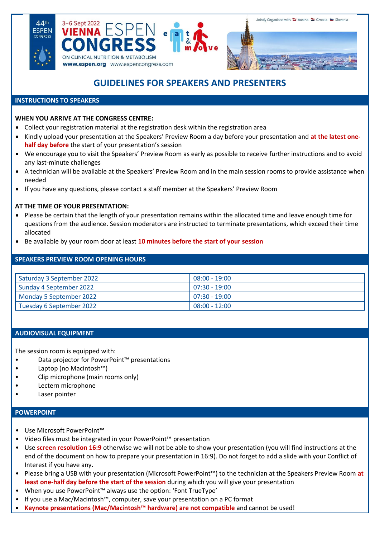





# **GUIDELINES FOR SPEAKERS AND PRESENTERS**

## **INSTRUCTIONS TO SPEAKERS**

## **WHEN YOU ARRIVE AT THE CONGRESS CENTRE:**

- Collect your registration material at the registration desk within the registration area
- Kindly upload your presentation at the Speakers' Preview Room a day before your presentation and **at the latest onehalf day before** the start of your presentation's session
- We encourage you to visit the Speakers' Preview Room as early as possible to receive further instructions and to avoid any last-minute challenges
- A technician will be available at the Speakers' Preview Room and in the main session rooms to provide assistance when needed
- If you have any questions, please contact a staff member at the Speakers' Preview Room

# **AT THE TIME OF YOUR PRESENTATION:**

- Please be certain that the length of your presentation remains within the allocated time and leave enough time for questions from the audience. Session moderators are instructed to terminate presentations, which exceed their time allocated
- Be available by your room door at least **10 minutes before the start of your session**

# **SPEAKERS PREVIEW ROOM OPENING HOURS**

| Saturday 3 September 2022 | $08:00 - 19:00$  |
|---------------------------|------------------|
| Sunday 4 September 2022   | 1 07:30 - 19:00  |
| Monday 5 September 2022   | $107:30 - 19:00$ |
| Tuesday 6 September 2022  | $08:00 - 12:00$  |

#### **AUDIOVISUAL EQUIPMENT**

The session room is equipped with:

- Data projector for PowerPoint™ presentations
- Laptop (no Macintosh™)
- Clip microphone (main rooms only)
- Lectern microphone
- Laser pointer

#### **POWERPOINT**

- Use Microsoft PowerPoint™
- Video files must be integrated in your PowerPoint™ presentation
- Use **screen resolution 16:9** otherwise we will not be able to show your presentation (you will find instructions at the end of the document on how to prepare your presentation in 16:9). Do not forget to add a slide with your Conflict of Interest if you have any.
- Please bring a USB with your presentation (Microsoft PowerPoint™) to the technician at the Speakers Preview Room **at least one-half day before the start of the session** during which you will give your presentation
- When you use PowerPoint™ always use the option: 'Font TrueType'
- If you use a Mac/Macintosh™, computer, save your presentation on a PC format
- **Keynote presentations (Mac/Macintosh™ hardware) are not compatible** and cannot be used!